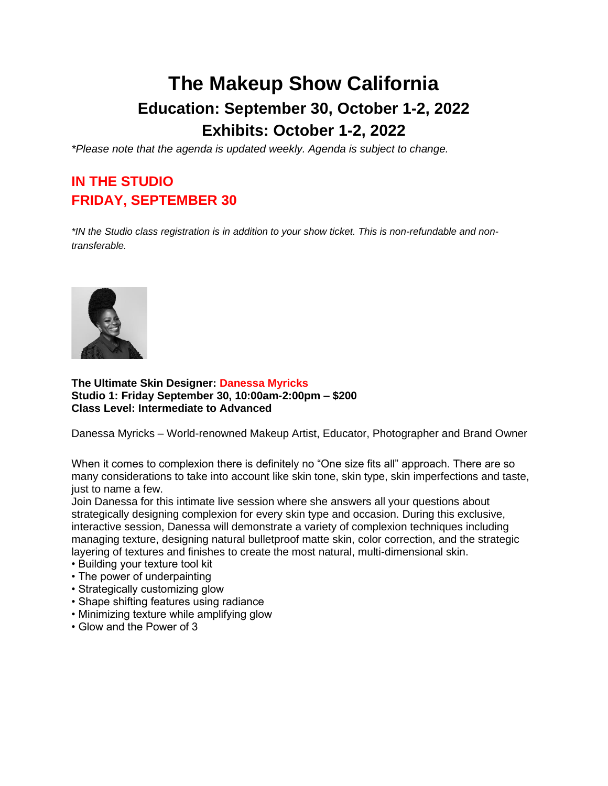# **The Makeup Show California Education: September 30, October 1-2, 2022 Exhibits: October 1-2, 2022**

*\*Please note that the agenda is updated weekly. Agenda is subject to change.*

# **IN THE STUDIO FRIDAY, SEPTEMBER 30**

*\*IN the Studio class registration is in addition to your show ticket. This is non-refundable and nontransferable.*



#### **The Ultimate Skin Designer: Danessa Myricks Studio 1: Friday September 30, 10:00am-2:00pm – \$200 Class Level: Intermediate to Advanced**

Danessa Myricks – World-renowned Makeup Artist, Educator, Photographer and Brand Owner

When it comes to complexion there is definitely no "One size fits all" approach. There are so many considerations to take into account like skin tone, skin type, skin imperfections and taste, just to name a few.

Join Danessa for this intimate live session where she answers all your questions about strategically designing complexion for every skin type and occasion. During this exclusive, interactive session, Danessa will demonstrate a variety of complexion techniques including managing texture, designing natural bulletproof matte skin, color correction, and the strategic layering of textures and finishes to create the most natural, multi-dimensional skin.

- Building your texture tool kit
- The power of underpainting
- Strategically customizing glow
- Shape shifting features using radiance
- Minimizing texture while amplifying glow
- Glow and the Power of 3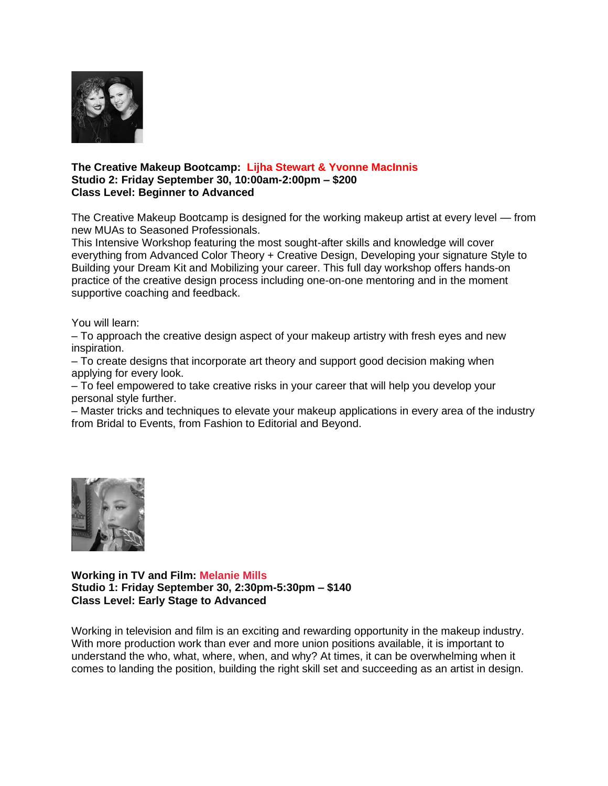

#### **The Creative Makeup Bootcamp: Lijha Stewart & Yvonne MacInnis Studio 2: Friday September 30, 10:00am-2:00pm – \$200 Class Level: Beginner to Advanced**

The Creative Makeup Bootcamp is designed for the working makeup artist at every level — from new MUAs to Seasoned Professionals.

This Intensive Workshop featuring the most sought-after skills and knowledge will cover everything from Advanced Color Theory + Creative Design, Developing your signature Style to Building your Dream Kit and Mobilizing your career. This full day workshop offers hands-on practice of the creative design process including one-on-one mentoring and in the moment supportive coaching and feedback.

You will learn:

– To approach the creative design aspect of your makeup artistry with fresh eyes and new inspiration.

– To create designs that incorporate art theory and support good decision making when applying for every look.

– To feel empowered to take creative risks in your career that will help you develop your personal style further.

– Master tricks and techniques to elevate your makeup applications in every area of the industry from Bridal to Events, from Fashion to Editorial and Beyond.



**Working in TV and Film: [Melanie Mills](https://www.themakeupshow.com/speakers/melanie-mills/) Studio 1: Friday September 30, 2:30pm-5:30pm – \$140 Class Level: Early Stage to Advanced**

Working in television and film is an exciting and rewarding opportunity in the makeup industry. With more production work than ever and more union positions available, it is important to understand the who, what, where, when, and why? At times, it can be overwhelming when it comes to landing the position, building the right skill set and succeeding as an artist in design.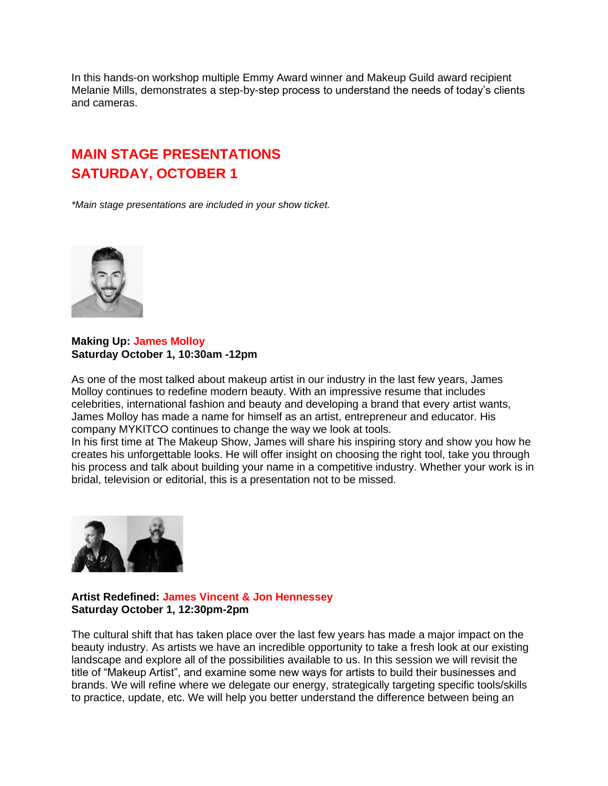In this hands-on workshop multiple Emmy Award winner and Makeup Guild award recipient Melanie Mills, demonstrates a step-by-step process to understand the needs of today's clients and cameras.

## **MAIN STAGE PRESENTATIONS SATURDAY, OCTOBER 1**

*\*Main stage presentations are included in your show ticket.*



#### **Making Up: [James Molloy](https://www.themakeupshow.com/speakers/james-molloy/) Saturday October 1, 10:30am -12pm**

As one of the most talked about makeup artist in our industry in the last few years, James Molloy continues to redefine modern beauty. With an impressive resume that includes celebrities, international fashion and beauty and developing a brand that every artist wants, James Molloy has made a name for himself as an artist, entrepreneur and educator. His company MYKITCO continues to change the way we look at tools.

In his first time at The Makeup Show, James will share his inspiring story and show you how he creates his unforgettable looks. He will offer insight on choosing the right tool, take you through his process and talk about building your name in a competitive industry. Whether your work is in bridal, television or editorial, this is a presentation not to be missed.



#### **Artist Redefined: [James Vincent](https://www.themakeupshow.com/speakers/james-vincent/) & [Jon Hennessey](https://www.themakeupshow.com/speakers/jon-hennessey/) Saturday October 1, 12:30pm-2pm**

The cultural shift that has taken place over the last few years has made a major impact on the beauty industry. As artists we have an incredible opportunity to take a fresh look at our existing landscape and explore all of the possibilities available to us. In this session we will revisit the title of "Makeup Artist", and examine some new ways for artists to build their businesses and brands. We will refine where we delegate our energy, strategically targeting specific tools/skills to practice, update, etc. We will help you better understand the difference between being an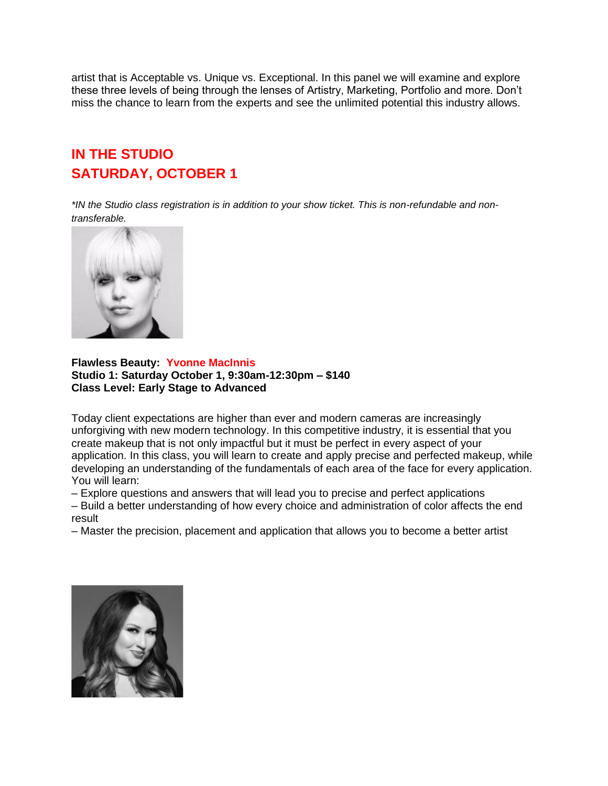artist that is Acceptable vs. Unique vs. Exceptional. In this panel we will examine and explore these three levels of being through the lenses of Artistry, Marketing, Portfolio and more. Don't miss the chance to learn from the experts and see the unlimited potential this industry allows.

### **IN THE STUDIO SATURDAY, OCTOBER 1**

*\*IN the Studio class registration is in addition to your show ticket. This is non-refundable and nontransferable.*



#### **Flawless Beauty: Yvonne MacInnis Studio 1: Saturday October 1, 9:30am-12:30pm – \$140 Class Level: Early Stage to Advanced**

Today client expectations are higher than ever and modern cameras are increasingly unforgiving with new modern technology. In this competitive industry, it is essential that you create makeup that is not only impactful but it must be perfect in every aspect of your application. In this class, you will learn to create and apply precise and perfected makeup, while developing an understanding of the fundamentals of each area of the face for every application. You will learn:

– Explore questions and answers that will lead you to precise and perfect applications

– Build a better understanding of how every choice and administration of color affects the end result

– Master the precision, placement and application that allows you to become a better artist

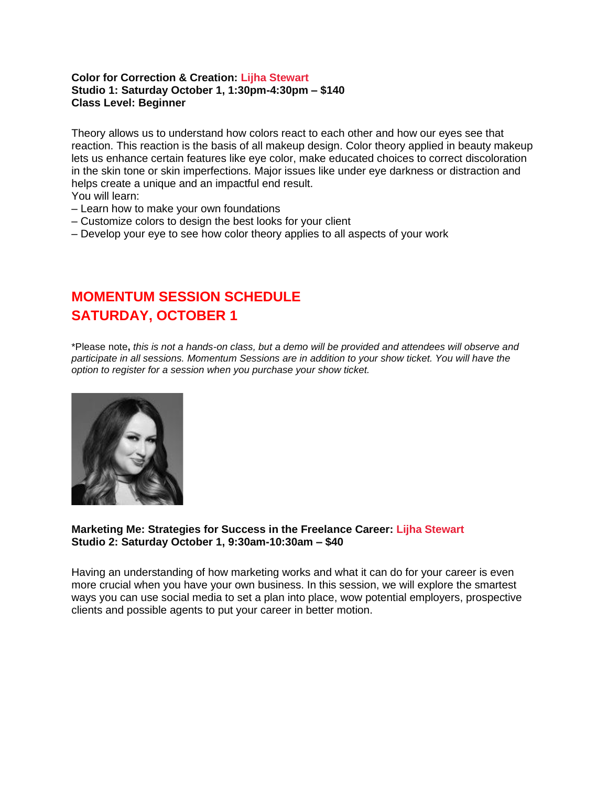#### **Color for Correction & Creation: [Lijha Stewart](https://www.themakeupshow.com/speakers/lijha-stewart/) Studio 1: Saturday October 1, 1:30pm-4:30pm – \$140 Class Level: Beginner**

Theory allows us to understand how colors react to each other and how our eyes see that reaction. This reaction is the basis of all makeup design. Color theory applied in beauty makeup lets us enhance certain features like eye color, make educated choices to correct discoloration in the skin tone or skin imperfections. Major issues like under eye darkness or distraction and helps create a unique and an impactful end result.

- You will learn:
- Learn how to make your own foundations
- Customize colors to design the best looks for your client
- Develop your eye to see how color theory applies to all aspects of your work

### **MOMENTUM SESSION SCHEDULE SATURDAY, OCTOBER 1**

\*Please note**,** *this is not a hands-on class, but a demo will be provided and attendees will observe and participate in all sessions. Momentum Sessions are in addition to your show ticket. You will have the option to register for a session when you purchase your show ticket.*



#### **Marketing Me: Strategies for Success in the Freelance Career: [Lijha Stewart](https://www.themakeupshow.com/speakers/lijha-stewart/) Studio 2: Saturday October 1, 9:30am-10:30am – \$40**

Having an understanding of how marketing works and what it can do for your career is even more crucial when you have your own business. In this session, we will explore the smartest ways you can use social media to set a plan into place, wow potential employers, prospective clients and possible agents to put your career in better motion.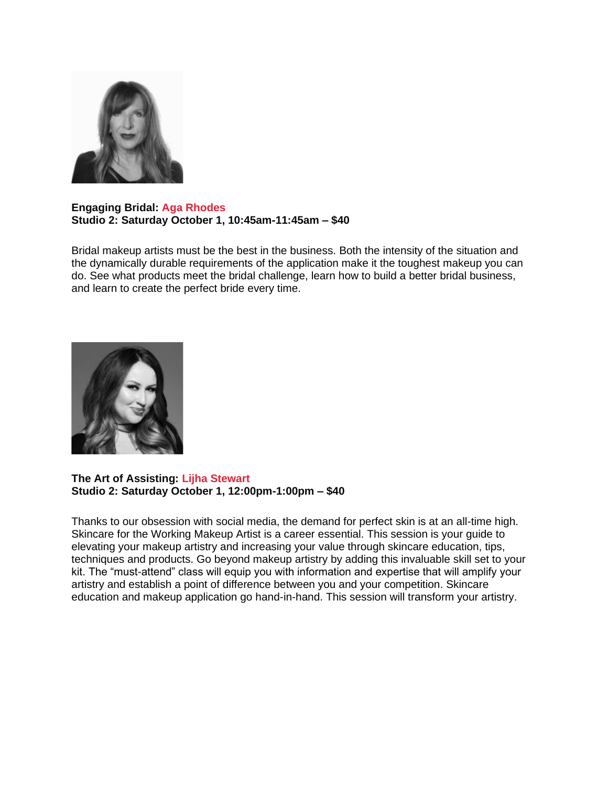

#### **Engaging Bridal: [Aga Rhodes](https://www.themakeupshow.com/speakers/aga-rhodes/)  Studio 2: Saturday October 1, 10:45am-11:45am – \$40**

Bridal makeup artists must be the best in the business. Both the intensity of the situation and the dynamically durable requirements of the application make it the toughest makeup you can do. See what products meet the bridal challenge, learn how to build a better bridal business, and learn to create the perfect bride every time.



#### **The Art of Assisting: [Lijha Stewart](https://www.themakeupshow.com/speakers/lijha-stewart/) Studio 2: Saturday October 1, 12:00pm-1:00pm – \$40**

Thanks to our obsession with social media, the demand for perfect skin is at an all-time high. Skincare for the Working Makeup Artist is a career essential. This session is your guide to elevating your makeup artistry and increasing your value through skincare education, tips, techniques and products. Go beyond makeup artistry by adding this invaluable skill set to your kit. The "must-attend" class will equip you with information and expertise that will amplify your artistry and establish a point of difference between you and your competition. Skincare education and makeup application go hand-in-hand. This session will transform your artistry.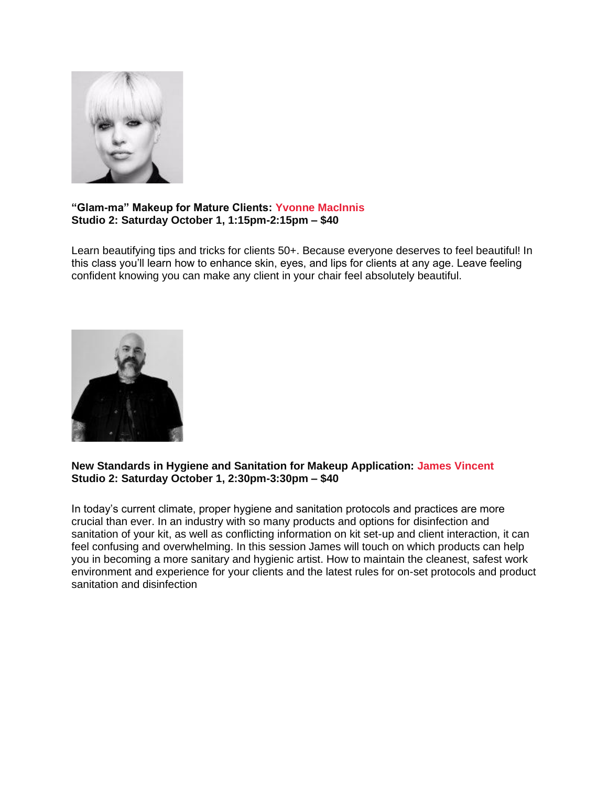

### **"Glam-ma" Makeup for Mature Clients: Yvonne [MacInnis](https://www.themakeupshow.com/speakers/yvonne-macinnis/) Studio 2: Saturday October 1, 1:15pm-2:15pm – \$40**

Learn beautifying tips and tricks for clients 50+. Because everyone deserves to feel beautiful! In this class you'll learn how to enhance skin, eyes, and lips for clients at any age. Leave feeling confident knowing you can make any client in your chair feel absolutely beautiful.



#### **New Standards in Hygiene and Sanitation for Makeup Application: [James Vincent](https://www.themakeupshow.com/speakers/james-vincent/) Studio 2: Saturday October 1, 2:30pm-3:30pm – \$40**

In today's current climate, proper hygiene and sanitation protocols and practices are more crucial than ever. In an industry with so many products and options for disinfection and sanitation of your kit, as well as conflicting information on kit set-up and client interaction, it can feel confusing and overwhelming. In this session James will touch on which products can help you in becoming a more sanitary and hygienic artist. How to maintain the cleanest, safest work environment and experience for your clients and the latest rules for on-set protocols and product sanitation and disinfection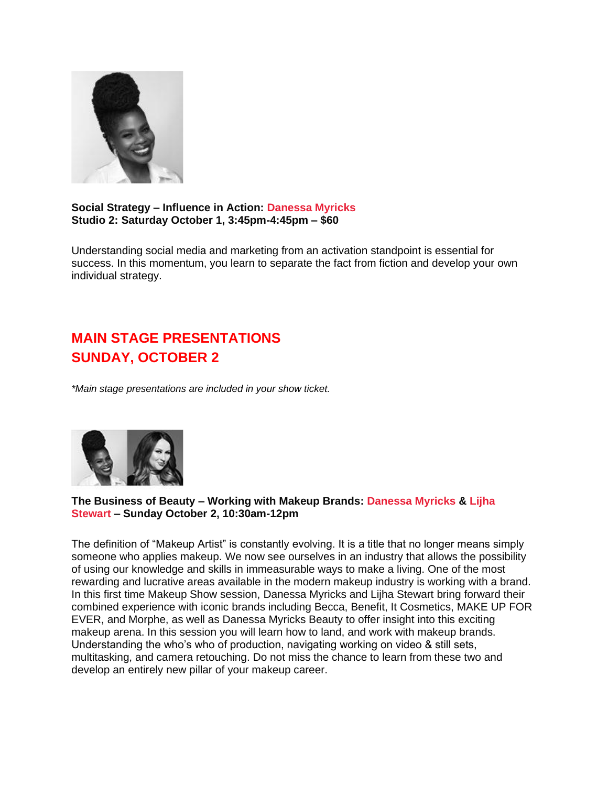

**Social Strategy – Influence in Action: [Danessa Myricks](https://www.themakeupshow.com/speakers/danessa-myricks/) Studio 2: Saturday October 1, 3:45pm-4:45pm – \$60**

Understanding social media and marketing from an activation standpoint is essential for success. In this momentum, you learn to separate the fact from fiction and develop your own individual strategy.

# **MAIN STAGE PRESENTATIONS SUNDAY, OCTOBER 2**

*\*Main stage presentations are included in your show ticket.*



**The Business of Beauty – Working with Makeup Brands: [Danessa Myricks](https://www.themakeupshow.com/speakers/danessa-myricks/) & [Lijha](https://www.themakeupshow.com/speakers/lijha-stewart/)  [Stewart](https://www.themakeupshow.com/speakers/lijha-stewart/) – Sunday October 2, 10:30am-12pm**

The definition of "Makeup Artist" is constantly evolving. It is a title that no longer means simply someone who applies makeup. We now see ourselves in an industry that allows the possibility of using our knowledge and skills in immeasurable ways to make a living. One of the most rewarding and lucrative areas available in the modern makeup industry is working with a brand. In this first time Makeup Show session, Danessa Myricks and Lijha Stewart bring forward their combined experience with iconic brands including Becca, Benefit, It Cosmetics, MAKE UP FOR EVER, and Morphe, as well as Danessa Myricks Beauty to offer insight into this exciting makeup arena. In this session you will learn how to land, and work with makeup brands. Understanding the who's who of production, navigating working on video & still sets, multitasking, and camera retouching. Do not miss the chance to learn from these two and develop an entirely new pillar of your makeup career.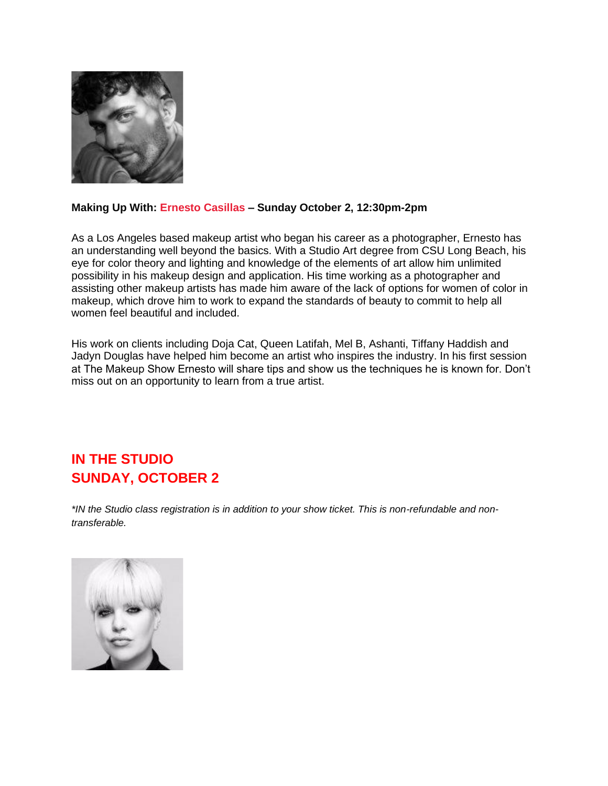

### **Making Up With: [Ernesto Casillas](https://www.themakeupshow.com/speakers/ernesto-casillas/) – Sunday October 2, 12:30pm-2pm**

As a Los Angeles based makeup artist who began his career as a photographer, Ernesto has an understanding well beyond the basics. With a Studio Art degree from CSU Long Beach, his eye for color theory and lighting and knowledge of the elements of art allow him unlimited possibility in his makeup design and application. His time working as a photographer and assisting other makeup artists has made him aware of the lack of options for women of color in makeup, which drove him to work to expand the standards of beauty to commit to help all women feel beautiful and included.

His work on clients including Doja Cat, Queen Latifah, Mel B, Ashanti, Tiffany Haddish and Jadyn Douglas have helped him become an artist who inspires the industry. In his first session at The Makeup Show Ernesto will share tips and show us the techniques he is known for. Don't miss out on an opportunity to learn from a true artist.

## **IN THE STUDIO SUNDAY, OCTOBER 2**

*\*IN the Studio class registration is in addition to your show ticket. This is non-refundable and nontransferable.*

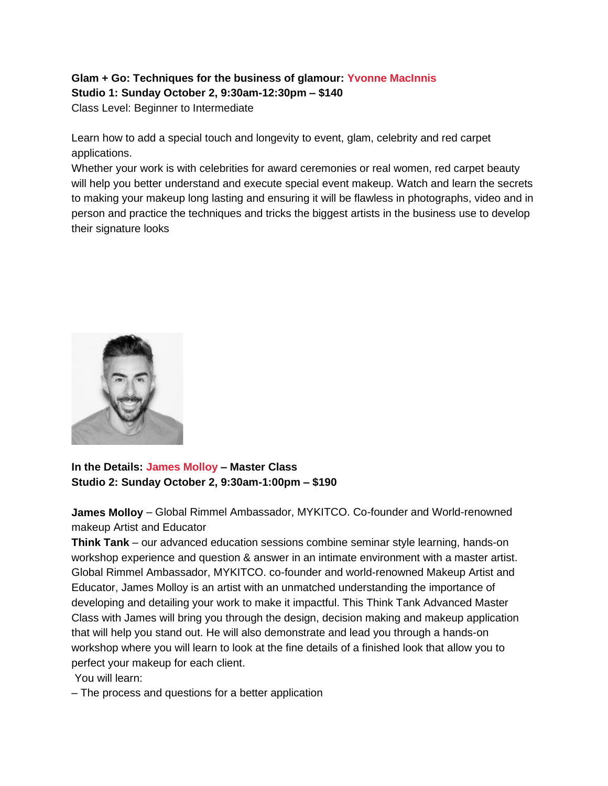### **Glam + Go: Techniques for the business of glamour: [Yvonne MacInnis](https://www.themakeupshow.com/speakers/yvonne-macinnis/) Studio 1: Sunday October 2, 9:30am-12:30pm – \$140**

Class Level: Beginner to Intermediate

Learn how to add a special touch and longevity to event, glam, celebrity and red carpet applications.

Whether your work is with celebrities for award ceremonies or real women, red carpet beauty will help you better understand and execute special event makeup. Watch and learn the secrets to making your makeup long lasting and ensuring it will be flawless in photographs, video and in person and practice the techniques and tricks the biggest artists in the business use to develop their signature looks



**In the Details: [James Molloy](https://www.themakeupshow.com/speakers/james-molloy/) – Master Class Studio 2: Sunday October 2, 9:30am-1:00pm – \$190**

**James Molloy** – Global Rimmel Ambassador, MYKITCO. Co-founder and World-renowned makeup Artist and Educator

**Think Tank** – our advanced education sessions combine seminar style learning, hands-on workshop experience and question & answer in an intimate environment with a master artist. Global Rimmel Ambassador, MYKITCO. co-founder and world-renowned Makeup Artist and Educator, James Molloy is an artist with an unmatched understanding the importance of developing and detailing your work to make it impactful. This Think Tank Advanced Master Class with James will bring you through the design, decision making and makeup application that will help you stand out. He will also demonstrate and lead you through a hands-on workshop where you will learn to look at the fine details of a finished look that allow you to perfect your makeup for each client.

You will learn:

– The process and questions for a better application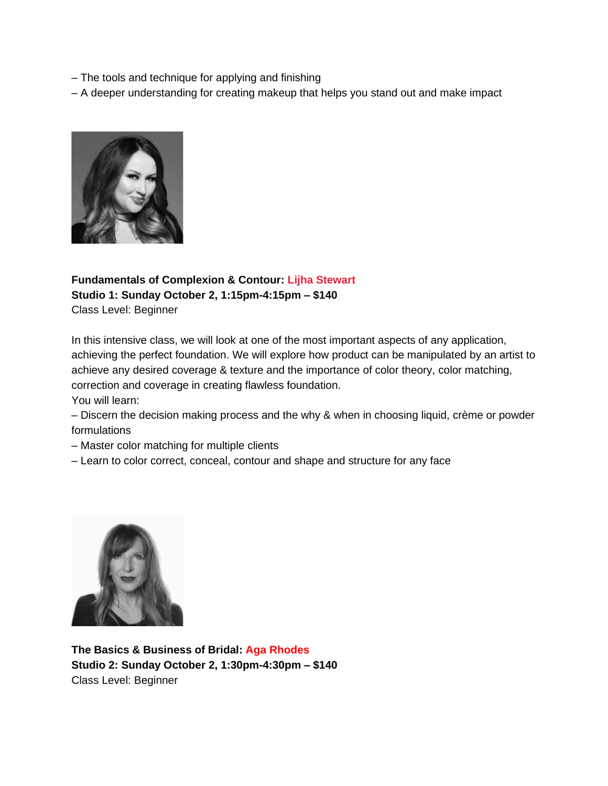– The tools and technique for applying and finishing

– A deeper understanding for creating makeup that helps you stand out and make impact



### **Fundamentals of Complexion & Contour: [Lijha Stewart](https://www.themakeupshow.com/speakers/lijha-stewart/) Studio 1: Sunday October 2, 1:15pm-4:15pm – \$140** Class Level: Beginner

In this intensive class, we will look at one of the most important aspects of any application, achieving the perfect foundation. We will explore how product can be manipulated by an artist to achieve any desired coverage & texture and the importance of color theory, color matching, correction and coverage in creating flawless foundation.

You will learn:

– Discern the decision making process and the why & when in choosing liquid, crème or powder formulations

- Master color matching for multiple clients
- Learn to color correct, conceal, contour and shape and structure for any face



**The Basics & Business of Bridal: [Aga Rhodes](https://www.themakeupshow.com/speakers/aga-rhodes/) Studio 2: Sunday October 2, 1:30pm-4:30pm – \$140** Class Level: Beginner